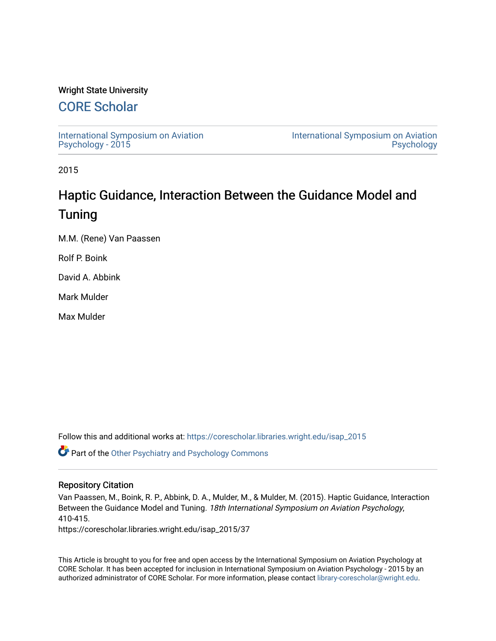## Wright State University

# [CORE Scholar](https://corescholar.libraries.wright.edu/)

[International Symposium on Aviation](https://corescholar.libraries.wright.edu/isap_2015) [Psychology - 2015](https://corescholar.libraries.wright.edu/isap_2015)

[International Symposium on Aviation](https://corescholar.libraries.wright.edu/isap)  [Psychology](https://corescholar.libraries.wright.edu/isap) 

2015

# Haptic Guidance, Interaction Between the Guidance Model and Tuning

M.M. (Rene) Van Paassen

Rolf P. Boink

David A. Abbink

Mark Mulder

Max Mulder

Follow this and additional works at: [https://corescholar.libraries.wright.edu/isap\\_2015](https://corescholar.libraries.wright.edu/isap_2015?utm_source=corescholar.libraries.wright.edu%2Fisap_2015%2F37&utm_medium=PDF&utm_campaign=PDFCoverPages)

Part of the [Other Psychiatry and Psychology Commons](http://network.bepress.com/hgg/discipline/992?utm_source=corescholar.libraries.wright.edu%2Fisap_2015%2F37&utm_medium=PDF&utm_campaign=PDFCoverPages)

### Repository Citation

Van Paassen, M., Boink, R. P., Abbink, D. A., Mulder, M., & Mulder, M. (2015). Haptic Guidance, Interaction Between the Guidance Model and Tuning. 18th International Symposium on Aviation Psychology, 410-415.

https://corescholar.libraries.wright.edu/isap\_2015/37

This Article is brought to you for free and open access by the International Symposium on Aviation Psychology at CORE Scholar. It has been accepted for inclusion in International Symposium on Aviation Psychology - 2015 by an authorized administrator of CORE Scholar. For more information, please contact [library-corescholar@wright.edu](mailto:library-corescholar@wright.edu).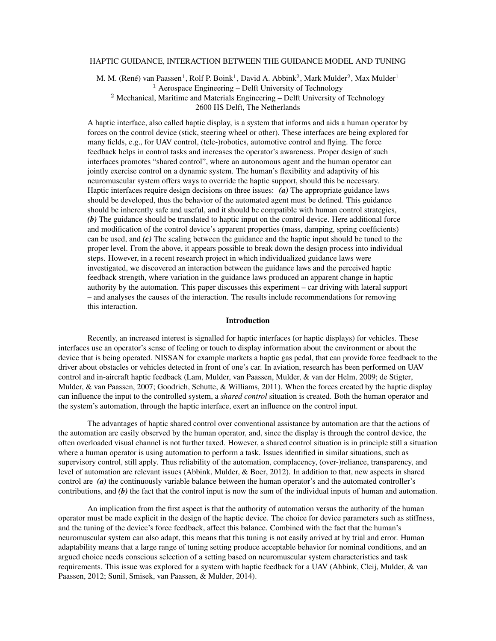#### HAPTIC GUIDANCE, INTERACTION BETWEEN THE GUIDANCE MODEL AND TUNING

M. M. (René) van Paassen<sup>1</sup>, Rolf P. Boink<sup>1</sup>, David A. Abbink<sup>2</sup>, Mark Mulder<sup>2</sup>, Max Mulder<sup>1</sup> <sup>1</sup> Aerospace Engineering – Delft University of Technology <sup>2</sup> Mechanical, Maritime and Materials Engineering – Delft University of Technology 2600 HS Delft, The Netherlands

A haptic interface, also called haptic display, is a system that informs and aids a human operator by forces on the control device (stick, steering wheel or other). These interfaces are being explored for many fields, e.g., for UAV control, (tele-)robotics, automotive control and flying. The force feedback helps in control tasks and increases the operator's awareness. Proper design of such interfaces promotes "shared control", where an autonomous agent and the human operator can jointly exercise control on a dynamic system. The human's flexibility and adaptivity of his neuromuscular system offers ways to override the haptic support, should this be necessary. Haptic interfaces require design decisions on three issues: *(a)* The appropriate guidance laws should be developed, thus the behavior of the automated agent must be defined. This guidance should be inherently safe and useful, and it should be compatible with human control strategies, *(b)* The guidance should be translated to haptic input on the control device. Here additional force and modification of the control device's apparent properties (mass, damping, spring coefficients) can be used, and *(c)* The scaling between the guidance and the haptic input should be tuned to the proper level. From the above, it appears possible to break down the design process into individual steps. However, in a recent research project in which individualized guidance laws were investigated, we discovered an interaction between the guidance laws and the perceived haptic feedback strength, where variation in the guidance laws produced an apparent change in haptic authority by the automation. This paper discusses this experiment – car driving with lateral support – and analyses the causes of the interaction. The results include recommendations for removing this interaction.

#### Introduction

Recently, an increased interest is signalled for haptic interfaces (or haptic displays) for vehicles. These interfaces use an operator's sense of feeling or touch to display information about the environment or about the device that is being operated. NISSAN for example markets a haptic gas pedal, that can provide force feedback to the driver about obstacles or vehicles detected in front of one's car. In aviation, research has been performed on UAV control and in-aircraft haptic feedback ([Lam, Mulder, van Paassen, Mulder, & van der Helm, 2009;](#page-6-0) [de Stigter,](#page-6-1) [Mulder, & van Paassen](#page-6-1), [2007](#page-6-1); [Goodrich, Schutte, & Williams](#page-6-2), [2011](#page-6-2)). When the forces created by the haptic display can influence the input to the controlled system, a *shared control* situation is created. Both the human operator and the system's automation, through the haptic interface, exert an influence on the control input.

The advantages of haptic shared control over conventional assistance by automation are that the actions of the automation are easily observed by the human operator, and, since the display is through the control device, the often overloaded visual channel is not further taxed. However, a shared control situation is in principle still a situation where a human operator is using automation to perform a task. Issues identified in similar situations, such as supervisory control, still apply. Thus reliability of the automation, complacency, (over-)reliance, transparency, and level of automation are relevant issues ([Abbink, Mulder, & Boer](#page-6-3), [2012](#page-6-3)). In addition to that, new aspects in shared control are *(a)* the continuously variable balance between the human operator's and the automated controller's contributions, and *(b)* the fact that the control input is now the sum of the individual inputs of human and automation.

An implication from the first aspect is that the authority of automation versus the authority of the human operator must be made explicit in the design of the haptic device. The choice for device parameters such as stiffness, and the tuning of the device's force feedback, affect this balance. Combined with the fact that the human's neuromuscular system can also adapt, this means that this tuning is not easily arrived at by trial and error. Human adaptability means that a large range of tuning setting produce acceptable behavior for nominal conditions, and an argued choice needs conscious selection of a setting based on neuromuscular system characteristics and task requirements. This issue was explored for a system with haptic feedback for a UAV ([Abbink, Cleij, Mulder, & van](#page-6-4) [Paassen](#page-6-4), [2012](#page-6-4); [Sunil, Smisek, van Paassen, & Mulder](#page-6-5), [2014](#page-6-5)).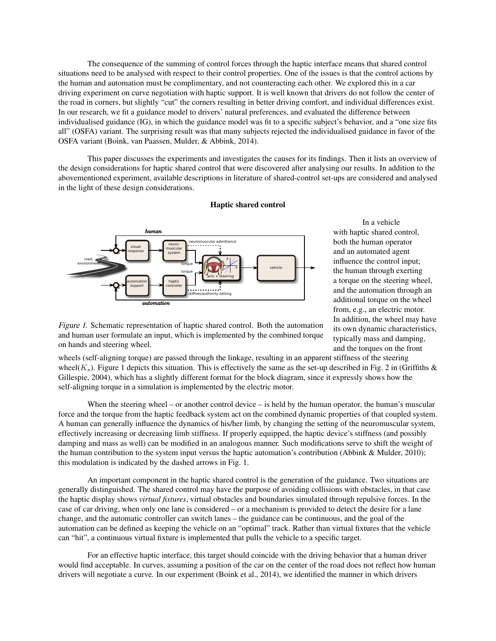The consequence of the summing of control forces through the haptic interface means that shared control situations need to be analysed with respect to their control properties. One of the issues is that the control actions by the human and automation must be complimentary, and not counteracting each other. We explored this in a car driving experiment on curve negotiation with haptic support. It is well known that drivers do not follow the center of the road in corners, but slightly "cut" the corners resulting in better driving comfort, and individual differences exist. In our research, we fit a guidance model to drivers' natural preferences, and evaluated the difference between individualised guidance (IG), in which the guidance model was fit to a specific subject's behavior, and a "one size fits all" (OSFA) variant. The surprising result was that many subjects rejected the individualised guidance in favor of the OSFA variant [\(Boink, van Paassen, Mulder, & Abbink, 2014\)](#page-6-6).

This paper discusses the experiments and investigates the causes for its findings. Then it lists an overview of the design considerations for haptic shared control that were discovered after analysing our results. In addition to the abovementioned experiment, available descriptions in literature of shared-control set-ups are considered and analysed in the light of these design considerations.

<span id="page-2-0"></span>

Haptic shared control

In a vehicle with haptic shared control, both the human operator and an automated agent influence the control input; the human through exerting a torque on the steering wheel, and the automation through an additional torque on the wheel from, e.g., an electric motor. In addition, the wheel may have its own dynamic characteristics, typically mass and damping, and the torques on the front

Figure <sup>1</sup>*.* Schematic representation of haptic shared control. Both the automation and human user formulate an input, which is implemented by the combined torque on hands and steering wheel.

wheels (self-aligning torque) are passed through the linkage, resulting in an apparent stiffness of the steering wheel( $K_s$ ). Figure [1](#page-2-0) depicts this situation. This is effectively the same as the set-up described in Fig. 2 in (Griffiths  $\&$ [Gillespie, 2004\)](#page-6-7), which has a slightly different format for the block diagram, since it expressly shows how the self-aligning torque in a simulation is implemented by the electric motor.

When the steering wheel – or another control device – is held by the human operator, the human's muscular force and the torque from the haptic feedback system act on the combined dynamic properties of that coupled system. A human can generally influence the dynamics of his/her limb, by changing the setting of the neuromuscular system, effectively increasing or decreasing limb stiffness. If properly equipped, the haptic device's stiffness (and possibly damping and mass as well) can be modified in an analogous manner. Such modifications serve to shift the weight of the human contribution to the system input versus the haptic automation's contribution ([Abbink & Mulder, 2010\)](#page-6-8); this modulation is indicated by the dashed arrows in Fig. [1](#page-2-0).

An important component in the haptic shared control is the generation of the guidance. Two situations are generally distinguished. The shared control may have the purpose of avoiding collisions with obstacles, in that case the haptic display shows *virtual fixtures*, virtual obstacles and boundaries simulated through repulsive forces. In the case of car driving, when only one lane is considered – or a mechanism is provided to detect the desire for a lane change, and the automatic controller can switch lanes – the guidance can be continuous, and the goal of the automation can be defined as keeping the vehicle on an "optimal" track. Rather than virtual fixtures that the vehicle can "hit", a continuous virtual fixture is implemented that pulls the vehicle to a specific target.

For an effective haptic interface, this target should coincide with the driving behavior that a human driver would find acceptable. In curves, assuming a position of the car on the center of the road does not reflect how human drivers will negotiate a curve. In our experiment [\(Boink et al.](#page-6-6), [2014](#page-6-6)), we identified the manner in which drivers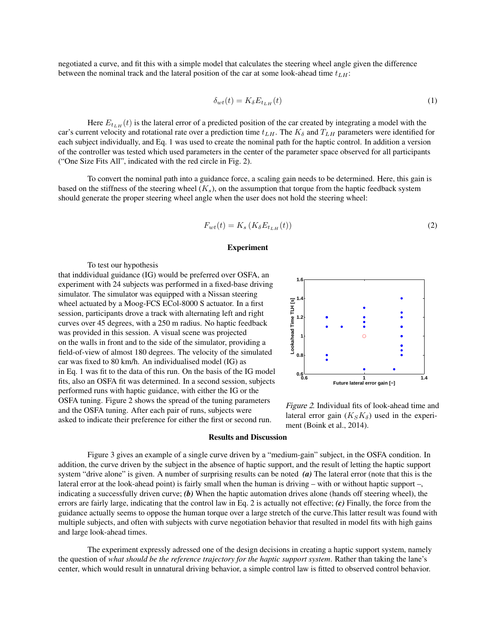<span id="page-3-0"></span>negotiated a curve, and fit this with a simple model that calculates the steering wheel angle given the difference between the nominal track and the lateral position of the car at some look-ahead time *tLH*:

$$
\delta_{wt}(t) = K_{\delta} E_{t_{LH}}(t) \tag{1}
$$

Here  $E_{t_{LH}}(t)$  is the lateral error of a predicted position of the car created by integrating a model with the car's current velocity and rotational rate over a prediction time  $t_{LH}$ . The  $K_{\delta}$  and  $T_{LH}$  parameters were identified for each subject individually, and Eq. [1](#page-3-0) was used to create the nominal path for the haptic control. In addition a version of the controller was tested which used parameters in the center of the parameter space observed for all participants ("One Size Fits All", indicated with the red circle in Fig. [2](#page-3-1)).

<span id="page-3-2"></span>To convert the nominal path into a guidance force, a scaling gain needs to be determined. Here, this gain is based on the stiffness of the steering wheel  $(K_s)$ , on the assumption that torque from the haptic feedback system should generate the proper steering wheel angle when the user does not hold the steering wheel:

$$
F_{wt}(t) = K_s \left( K_\delta E_{t_{LH}}(t) \right) \tag{2}
$$

#### Experiment

To test our hypothesis

<span id="page-3-1"></span>that inddividual guidance (IG) would be preferred over OSFA, an experiment with 24 subjects was performed in a fixed-base driving simulator. The simulator was equipped with a Nissan steering wheel actuated by a Moog-FCS ECol-8000 S actuator. In a first session, participants drove a track with alternating left and right curves over 45 degrees, with a 250 m radius. No haptic feedback was provided in this session. A visual scene was projected on the walls in front and to the side of the simulator, providing a field-of-view of almost 180 degrees. The velocity of the simulated car was fixed to 80 km/h. An individualised model (IG) as in Eq. [1](#page-3-0) was fit to the data of this run. On the basis of the IG model fits, also an OSFA fit was determined. In a second session, subjects performed runs with haptic guidance, with either the IG or the OSFA tuning. Figure [2](#page-3-1) shows the spread of the tuning parameters and the OSFA tuning. After each pair of runs, subjects were asked to indicate their preference for either the first or second run.



Figure <sup>2</sup>*.* Individual fits of look-ahead time and lateral error gain  $(K_S K_{\delta})$  used in the experiment ([Boink](#page-6-6) et al., [2014\)](#page-6-6).

#### Results and Discussion

Figure [3](#page-4-0) gives an example of a single curve driven by a "medium-gain" subject, in the OSFA condition. In addition, the curve driven by the subject in the absence of haptic support, and the result of letting the haptic support system "drive alone" is given. A number of surprising results can be noted *(a)* The lateral error (note that this is the lateral error at the look-ahead point) is fairly small when the human is driving – with or without haptic support –, indicating a successfully driven curve; *(b)* When the haptic automation drives alone (hands off steering wheel), the errors are fairly large, indicating that the control law in Eq. [2](#page-3-2) is actually not effective; *(c)* Finally, the force from the guidance actually seems to oppose the human torque over a large stretch of the curve.This latter result was found with multiple subjects, and often with subjects with curve negotiation behavior that resulted in model fits with high gains and large look-ahead times.

The experiment expressly adressed one of the design decisions in creating a haptic support system, namely the question of *what should be the reference trajectory for the haptic support system*. Rather than taking the lane's center, which would result in unnatural driving behavior, a simple control law is fitted to observed control behavior.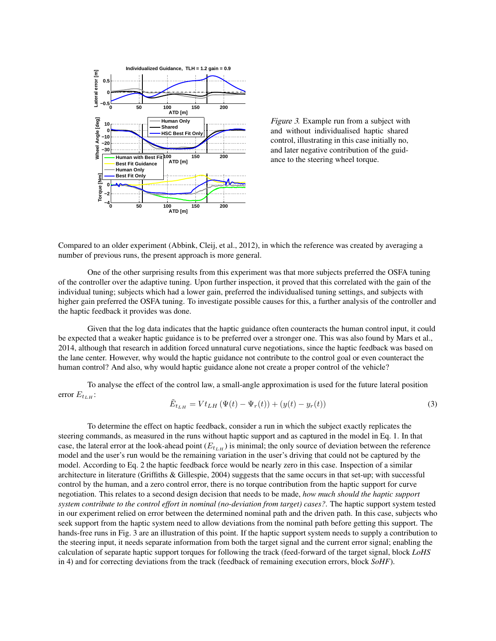<span id="page-4-0"></span>

Figure <sup>3</sup>*.* Example run from a subject with and without individualised haptic shared control, illustrating in this case initially no, and later negative contribution of the guidance to the steering wheel torque.

Compared to an older experiment ([Abbink, Cleij, et al.](#page-6-4), [2012](#page-6-4)), in which the reference was created by averaging a number of previous runs, the present approach is more general.

One of the other surprising results from this experiment was that more subjects preferred the OSFA tuning of the controller over the adaptive tuning. Upon further inspection, it proved that this correlated with the gain of the individual tuning; subjects which had a lower gain, preferred the individualised tuning settings, and subjects with higher gain preferred the OSFA tuning. To investigate possible causes for this, a further analysis of the controller and the haptic feedback it provides was done.

Given that the log data indicates that the haptic guidance often counteracts the human control input, it could be expected that a weaker haptic guidance is to be preferred over a stronger one. This was also found by [Mars et al.,](#page-6-9) [2014,](#page-6-9) although that research in addition forced unnatural curve negotiations, since the haptic feedback was based on the lane center. However, why would the haptic guidance not contribute to the control goal or even counteract the human control? And also, why would haptic guidance alone not create a proper control of the vehicle?

To analyse the effect of the control law, a small-angle approximation is used for the future lateral position error  $E_{t_{LH}}$ :

$$
\tilde{E}_{t_{LH}} = V t_{LH} \left( \Psi(t) - \Psi_r(t) \right) + \left( y(t) - y_r(t) \right) \tag{3}
$$

To determine the effect on haptic feedback, consider a run in which the subject exactly replicates the steering commands, as measured in the runs without haptic support and as captured in the model in Eq. [1](#page-3-0). In that case, the lateral error at the look-ahead point  $(E_{tLH})$  is minimal; the only source of deviation between the reference model and the user's run would be the remaining variation in the user's driving that could not be captured by the model. According to Eq. [2](#page-3-2) the haptic feedback force would be nearly zero in this case. Inspection of a similar architecture in literature ([Griffiths & Gillespie, 2004\)](#page-6-7) suggests that the same occurs in that set-up; with successful control by the human, and a zero control error, there is no torque contribution from the haptic support for curve negotiation. This relates to a second design decision that needs to be made, *how much should the haptic support system contribute to the control effort in nominal (no-deviation from target) cases?*. The haptic support system tested in our experiment relied on error between the determined nominal path and the driven path. In this case, subjects who seek support from the haptic system need to allow deviations from the nominal path before getting this support. The hands-free runs in Fig. [3](#page-4-0) are an illustration of this point. If the haptic support system needs to supply a contribution to the steering input, it needs separate information from both the target signal and the current error signal; enabling the calculation of separate haptic support torques for following the track (feed-forward of the target signal, block *LoHS* in [4](#page-5-0)) and for correcting deviations from the track (feedback of remaining execution errors, block *SoHF*).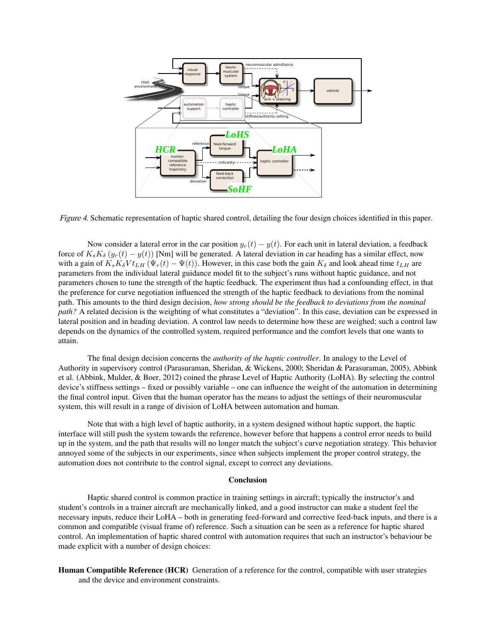<span id="page-5-0"></span>

Figure <sup>4</sup>*.* Schematic representation of haptic shared control, detailing the four design choices identified in this paper.

Now consider a lateral error in the car position  $y_r(t) - y(t)$ . For each unit in lateral deviation, a feedback force of  $K_s K_\delta(y_r(t) - y(t))$  [Nm] will be generated. A lateral deviation in car heading has a similar effect, now with a gain of  $K_s K_\delta V t_{LH} (\Psi_r(t) - \Psi(t))$ . However, in this case both the gain  $K_\delta$  and look ahead time  $t_{LH}$  are parameters from the individual lateral guidance model fit to the subject's runs without haptic guidance, and not parameters chosen to tune the strength of the haptic feedback. The experiment thus had a confounding effect, in that the preference for curve negotiation influenced the strength of the haptic feedback to deviations from the nominal path. This amounts to the third design decision, *how strong should be the feedback to deviations from the nominal path?* A related decision is the weighting of what constitutes a "deviation". In this case, deviation can be expressed in lateral position and in heading deviation. A control law needs to determine how these are weighed; such a control law depends on the dynamics of the controlled system, required performance and the comfort levels that one wants to attain.

The final design decision concerns the *authority of the haptic controller*. In analogy to the Level of Authority in supervisory control [\(Parasuraman, Sheridan, & Wickens](#page-6-10), [2000](#page-6-10); [Sheridan & Parasuraman, 2005\)](#page-6-11), Abbink et al. ([Abbink, Mulder, & Boer](#page-6-3), [2012](#page-6-3)) coined the phrase Level of Haptic Authority (LoHA). By selecting the control device's stiffness settings – fixed or possibly variable – one can influence the weight of the automation in determining the final control input. Given that the human operator has the means to adjust the settings of their neuromuscular system, this will result in a range of division of LoHA between automation and human.

Note that with a high level of haptic authority, in a system designed without haptic support, the haptic interface will still push the system towards the reference, however before that happens a control error needs to build up in the system, and the path that results will no longer match the subject's curve negotiation strategy. This behavior annoyed some of the subjects in our experiments, since when subjects implement the proper control strategy, the automation does not contribute to the control signal, except to correct any deviations.

#### Conclusion

Haptic shared control is common practice in training settings in aircraft; typically the instructor's and student's controls in a trainer aircraft are mechanically linked, and a good instructor can make a student feel the necessary inputs, reduce their LoHA – both in generating feed-forward and corrective feed-back inputs, and there is a common and compatible (visual frame of) reference. Such a situation can be seen as a reference for haptic shared control. An implementation of haptic shared control with automation requires that such an instructor's behaviour be made explicit with a number of design choices:

Human Compatible Reference (HCR) Generation of a reference for the control, compatible with user strategies and the device and environment constraints.